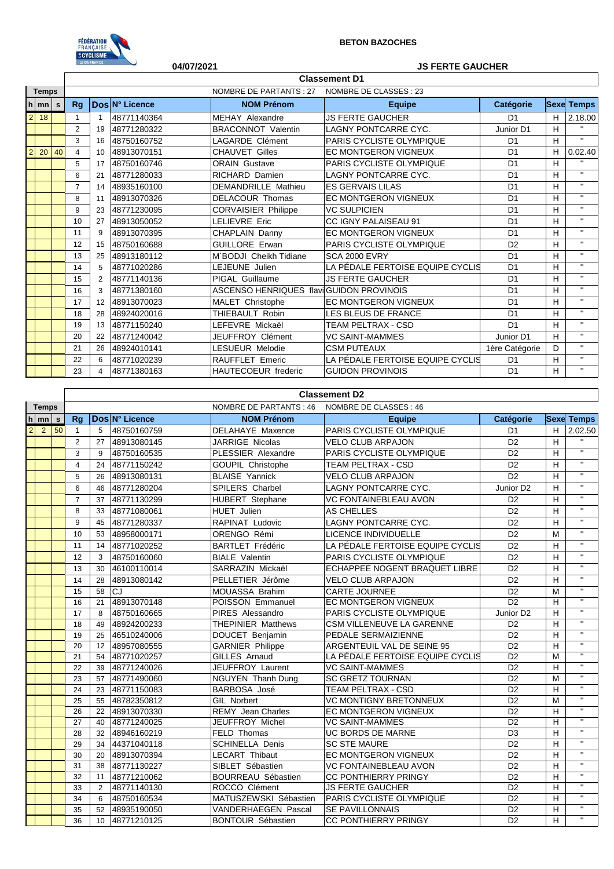

## **BETON BAZOCHES**

# **04/07/2021 JS FERTE GAUCHER**

 $\overline{\mathbf{1}}$ 

|                |             |    | <b>Classement D1</b>    |                       |                               |                                           |                                  |                |   |                   |  |  |  |  |
|----------------|-------------|----|-------------------------|-----------------------|-------------------------------|-------------------------------------------|----------------------------------|----------------|---|-------------------|--|--|--|--|
| <b>Temps</b>   |             |    |                         |                       | <b>NOMBRE DE PARTANTS: 27</b> | NOMBRE DE CLASSES : 23                    |                                  |                |   |                   |  |  |  |  |
|                | $h \mid mn$ | s  | Rg                      |                       | Dos N° Licence                | <b>NOM Prénom</b>                         | <b>Equipe</b>                    | Catégorie      |   | <b>Sexe Temps</b> |  |  |  |  |
| $\overline{2}$ | 18          |    | 1                       | $\overline{1}$        | 48771140364                   | MEHAY Alexandre                           | JS FERTE GAUCHER                 | D <sub>1</sub> | н | 2.18.00           |  |  |  |  |
|                |             |    | $\overline{2}$          | 19                    | 48771280322                   | <b>BRACONNOT Valentin</b>                 | <b>LAGNY PONTCARRE CYC.</b>      | Junior D1      | H | $\mathbf{u}$      |  |  |  |  |
|                |             |    | 3                       | 16                    | 48750160752                   | <b>LAGARDE Clément</b>                    | PARIS CYCLISTE OLYMPIQUE         | D <sub>1</sub> | н | $\mathbf{u}$      |  |  |  |  |
| $\overline{2}$ | 20          | 40 | $\overline{\mathbf{4}}$ | 10                    | 48913070151                   | <b>CHAUVET Gilles</b>                     | <b>EC MONTGERON VIGNEUX</b>      | D <sub>1</sub> | H | 0.02.40           |  |  |  |  |
|                |             |    | 5                       | 17                    | 48750160746                   | <b>ORAIN Gustave</b>                      | PARIS CYCLISTE OLYMPIQUE         | D <sub>1</sub> | н | $\mathbf{H}$      |  |  |  |  |
|                |             |    | 6                       | 21                    | 48771280033                   | <b>RICHARD Damien</b>                     | LAGNY PONTCARRE CYC.             | D <sub>1</sub> | Н | $\mathbf{H}$      |  |  |  |  |
|                |             |    | $\overline{7}$          | 14                    | 48935160100                   | <b>DEMANDRILLE Mathieu</b>                | <b>ES GERVAIS LILAS</b>          | D <sub>1</sub> | н | $\mathbf{u}$      |  |  |  |  |
|                |             |    | 8                       | 11                    | 48913070326                   | <b>DELACOUR Thomas</b>                    | <b>EC MONTGERON VIGNEUX</b>      | D <sub>1</sub> | H | $\mathbf{u}$      |  |  |  |  |
|                |             |    | 9                       | 23                    | 48771230095                   | <b>CORVAISIER Philippe</b>                | <b>VC SULPICIEN</b>              | D <sub>1</sub> | H | $\mathbf{u}$      |  |  |  |  |
|                |             |    | 10                      | 27                    | 48913050052                   | <b>LELIEVRE Eric</b>                      | CC IGNY PALAISEAU 91             | D <sub>1</sub> | н | $\mathbf{H}$      |  |  |  |  |
|                |             |    | 11                      | 9                     | 48913070395                   | CHAPLAIN Danny                            | <b>EC MONTGERON VIGNEUX</b>      | D <sub>1</sub> | H | $\mathbf{H}$      |  |  |  |  |
|                |             |    | 12                      | 15                    | 48750160688                   | <b>GUILLORE Erwan</b>                     | <b>PARIS CYCLISTE OLYMPIQUE</b>  | D <sub>2</sub> | н | $\mathbf{u}$      |  |  |  |  |
|                |             |    | 13                      | 25                    | 48913180112                   | M`BODJI Cheikh Tidiane                    | <b>SCA 2000 EVRY</b>             | D <sub>1</sub> | H | $\mathbf{u}$      |  |  |  |  |
|                |             |    | 14                      | 5                     | 48771020286                   | LEJEUNE Julien                            | LA PÉDALE FERTOISE EQUIPE CYCLIS | D <sub>1</sub> | H | $\mathbf{u}$      |  |  |  |  |
|                |             |    | 15                      | $\overline{2}$        | 48771140136                   | PIGAL Guillaume                           | <b>JS FERTE GAUCHER</b>          | D <sub>1</sub> | н | $\mathbf{u}$      |  |  |  |  |
|                |             |    | 16                      | 3                     | 48771380160                   | ASCENSO HENRIQUES flavil GUIDON PROVINOIS |                                  | D <sub>1</sub> | н | $\mathbf{H}$      |  |  |  |  |
|                |             |    | 17                      | 12                    | 48913070023                   | MALET Christophe                          | <b>EC MONTGERON VIGNEUX</b>      | D <sub>1</sub> | н | $\mathbf{H}$      |  |  |  |  |
|                |             |    | 18                      | 28                    | 48924020016                   | THIEBAULT Robin                           | LES BLEUS DE FRANCE              | D <sub>1</sub> | H | $\mathbf{u}$      |  |  |  |  |
|                |             |    | 19                      | 13                    | 48771150240                   | LEFEVRE Mickaël                           | TEAM PELTRAX - CSD               | D <sub>1</sub> | H | $\mathbf{H}$      |  |  |  |  |
|                |             |    | 20                      | 22                    | 48771240042                   | <b>JEUFFROY Clément</b>                   | <b>VC SAINT-MAMMES</b>           | Junior D1      | н | $\mathbf{u}$      |  |  |  |  |
|                |             |    | 21                      | 26                    | 48924010141                   | <b>LESUEUR Melodie</b>                    | <b>CSM PUTEAUX</b>               | 1ère Catégorie | D | $\mathbf{u}$      |  |  |  |  |
|                |             |    | 22                      | 6                     | 48771020239                   | RAUFFLET Emeric                           | LA PÉDALE FERTOISE EQUIPE CYCLIS | D <sub>1</sub> | н | $\mathbf{H}$      |  |  |  |  |
|                |             |    | 23                      | $\boldsymbol{\Delta}$ | 48771380163                   | <b>HAUTECOEUR</b> frederic                | <b>GUIDON PROVINOIS</b>          | D <sub>1</sub> | н | $\mathbf{H}$      |  |  |  |  |

## **Classement D2**

|                | <b>Temps</b> |    |                |                |                | NOMBRE DE PARTANTS : 46    | NOMBRE DE CLASSES : 46           |                       |   |                         |
|----------------|--------------|----|----------------|----------------|----------------|----------------------------|----------------------------------|-----------------------|---|-------------------------|
|                | $h$  mn s    |    | Rq             |                | Dos N° Licence | <b>NOM Prénom</b>          | <b>Equipe</b>                    | <b>Catégorie</b>      |   | <b>Sexe Temps</b>       |
| $\overline{2}$ | 2            | 50 | $\mathbf{1}$   | 5              | 48750160759    | <b>DELAHAYE Maxence</b>    | PARIS CYCLISTE OLYMPIQUE         | D <sub>1</sub>        | н | 2.02.50                 |
|                |              |    | 2              | 27             | 48913080145    | <b>JARRIGE Nicolas</b>     | <b>VELO CLUB ARPAJON</b>         | D <sub>2</sub>        | H |                         |
|                |              |    | 3              | 9              | 48750160535    | PLESSIER Alexandre         | PARIS CYCLISTE OLYMPIQUE         | D <sub>2</sub>        | H | $\mathbf{H}$            |
|                |              |    | $\overline{4}$ | 24             | 48771150242    | <b>GOUPIL Christophe</b>   | <b>TEAM PELTRAX - CSD</b>        | D <sub>2</sub>        | H | $\mathbf{H}$            |
|                |              |    | 5              | 26             | 48913080131    | <b>BLAISE Yannick</b>      | <b>VELO CLUB ARPAJON</b>         | D <sub>2</sub>        | H | $\mathbf{H}$            |
|                |              |    | 6              | 46             | 48771280204    | SPILERS Charbel            | LAGNY PONTCARRE CYC.             | Junior D <sub>2</sub> | H | $\mathbf{H}$            |
|                |              |    | $\overline{7}$ | 37             | 48771130299    | <b>HUBERT</b> Stephane     | <b>VC FONTAINEBLEAU AVON</b>     | D <sub>2</sub>        | н | $\mathbf{H}$            |
|                |              |    | 8              | 33             | 48771080061    | <b>HUET Julien</b>         | <b>AS CHELLES</b>                | D <sub>2</sub>        | н | $\mathbf{H}$            |
|                |              |    | 9              | 45             | 48771280337    | RAPINAT Ludovic            | LAGNY PONTCARRE CYC.             | D <sub>2</sub>        | Н | $\mathbf{H}$            |
|                |              |    | 10             | 53             | 48958000171    | ORENGO Rémi                | LICENCE INDIVIDUELLE             | D <sub>2</sub>        | м | $\mathbf{H}$            |
|                |              |    | 11             | 14             | 48771020252    | <b>BARTLET Frédéric</b>    | LA PÉDALE FERTOISE EQUIPE CYCLIS | D <sub>2</sub>        | н | $\mathbf{H}$            |
|                |              |    | 12             | 3              | 48750160060    | <b>BIALE Valentin</b>      | PARIS CYCLISTE OLYMPIQUE         | D <sub>2</sub>        | н | $\mathbf{H}$            |
|                |              |    | 13             | 30             | 46100110014    | SARRAZIN Mickaël           | ECHAPPEE NOGENT BRAQUET LIBRE    | D <sub>2</sub>        | н | $\mathbf{H}$            |
|                |              |    | 14             | 28             | 48913080142    | PELLETIER Jérôme           | <b>VELO CLUB ARPAJON</b>         | D <sub>2</sub>        | H | $\mathbf{H}$            |
|                |              |    | 15             | 58             | CJ             | MOUASSA Brahim             | <b>CARTE JOURNEE</b>             | D <sub>2</sub>        | м | $\mathbf{H}$            |
|                |              |    | 16             | 21             | 48913070148    | POISSON Emmanuel           | <b>EC MONTGERON VIGNEUX</b>      | D <sub>2</sub>        | Н | $\mathbf{H}$            |
|                |              |    | 17             | 8              | 48750160665    | PIRES Alessandro           | PARIS CYCLISTE OLYMPIQUE         | Junior D <sub>2</sub> | H | $\mathbf{H}$            |
|                |              |    | 18             | 49             | 48924200233    | <b>THEPINIER Matthews</b>  | CSM VILLENEUVE LA GARENNE        | D <sub>2</sub>        | н | $\mathbf{H}$            |
|                |              |    | 19             | 25             | 46510240006    | DOUCET Benjamin            | PEDALE SERMAIZIENNE              | D <sub>2</sub>        | H | $\mathbf{H}$            |
|                |              |    | 20             | 12             | 48957080555    | <b>GARNIER Philippe</b>    | ARGENTEUIL VAL DE SEINE 95       | D <sub>2</sub>        | Н | π                       |
|                |              |    | 21             | 54             | 48771020257    | GILLES Arnaud              | LA PÉDALE FERTOISE EQUIPE CYCLIS | D <sub>2</sub>        | M | $\overline{\mathbf{u}}$ |
|                |              |    | 22             | 39             | 48771240026    | JEUFFROY Laurent           | <b>VC SAINT-MAMMES</b>           | D <sub>2</sub>        | H | $\mathbf{H}$            |
|                |              |    | 23             | 57             | 48771490060    | <b>NGUYEN Thanh Dung</b>   | <b>SC GRETZ TOURNAN</b>          | D <sub>2</sub>        | M | $\mathbf{u}$            |
|                |              |    | 24             | 23             | 48771150083    | BARBOSA José               | <b>TEAM PELTRAX - CSD</b>        | D <sub>2</sub>        | H | $\mathbf{u}$            |
|                |              |    | 25             | 55             | 48782350812    | <b>GIL Norbert</b>         | VC MONTIGNY BRETONNEUX           | D <sub>2</sub>        | M | $\overline{u}$          |
|                |              |    | 26             | 22             | 48913070330    | <b>REMY</b> Jean Charles   | <b>EC MONTGERON VIGNEUX</b>      | D <sub>2</sub>        | н | $\mathbf{H}$            |
|                |              |    | 27             | 40             | 48771240025    | JEUFFROY Michel            | <b>VC SAINT-MAMMES</b>           | D <sub>2</sub>        | Н | $\overline{\mathbf{u}}$ |
|                |              |    | 28             | 32             | 48946160219    | FELD Thomas                | UC BORDS DE MARNE                | D <sub>3</sub>        | н | $\mathbf{H}$            |
|                |              |    | 29             | 34             | 44371040118    | <b>SCHINELLA Denis</b>     | <b>SC STE MAURE</b>              | D <sub>2</sub>        | H | $\mathbf{u}$            |
|                |              |    | 30             | 20             | 48913070394    | <b>LECART Thibaut</b>      | EC MONTGERON VIGNEUX             | D <sub>2</sub>        | H | $\mathbf{u}$            |
|                |              |    | 31             | 38             | 48771130227    | SIBLET Sébastien           | VC FONTAINEBLEAU AVON            | D <sub>2</sub>        | H | $\mathbf{H}$            |
|                |              |    | 32             | 11             | 48771210062    | <b>BOURREAU Sébastien</b>  | <b>CC PONTHIERRY PRINGY</b>      | D <sub>2</sub>        | н | $\mathbf{H}$            |
|                |              |    | 33             | $\overline{2}$ | 48771140130    | ROCCO Clément              | <b>JS FERTE GAUCHER</b>          | D <sub>2</sub>        | H | $\mathbf{H}$            |
|                |              |    | 34             | 6              | 48750160534    | MATUSZEWSKI Sébastien      | <b>PARIS CYCLISTE OLYMPIQUE</b>  | D <sub>2</sub>        | H | $\mathbf{H}$            |
|                |              |    | 35             | 52             | 48935190050    | <b>VANDERHAEGEN Pascal</b> | SE PAVILLONNAIS                  | D <sub>2</sub>        | H | $\mathbf{u}$            |
|                |              |    | 36             | 10             | 48771210125    | <b>BONTOUR Sébastien</b>   | <b>CC PONTHIERRY PRINGY</b>      | D <sub>2</sub>        | H | $\overline{u}$          |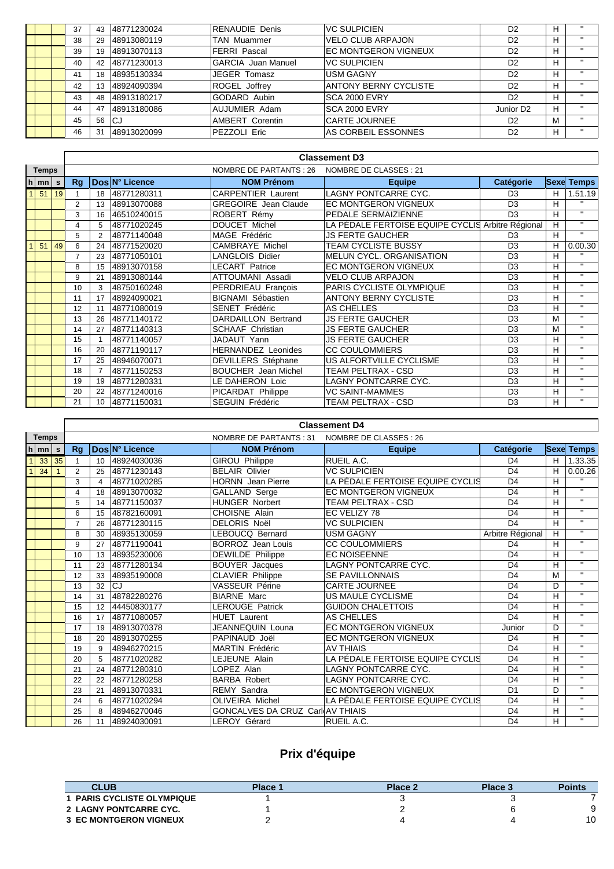|  | 37 | 43 | 48771230024 | <b>RENAUDIE Denis</b>     | IVC SULPICIEN         | D <sub>2</sub>        | н | $\mathbf{H}$ |
|--|----|----|-------------|---------------------------|-----------------------|-----------------------|---|--------------|
|  | 38 | 29 | 48913080119 | <b>TAN Muammer</b>        | VELO CLUB ARPAJON     | D <sub>2</sub>        | н | $\mathbf{H}$ |
|  | 39 | 19 | 48913070113 | <b>FERRI Pascal</b>       | EC MONTGERON VIGNEUX  | D <sub>2</sub>        | н | $\mathbf{H}$ |
|  | 40 | 42 | 48771230013 | <b>GARCIA</b> Juan Manuel | IVC SULPICIEN         | D <sub>2</sub>        | н | $\mathbf{H}$ |
|  | 41 | 18 | 48935130334 | JEGER Tomasz              | <b>USM GAGNY</b>      | D <sub>2</sub>        | н | $\mathbf{H}$ |
|  | 42 | 13 | 48924090394 | <b>ROGEL Joffrey</b>      | ANTONY BERNY CYCLISTE | D <sub>2</sub>        | н | $\mathbf{H}$ |
|  | 43 | 48 | 48913180217 | GODARD Aubin              | <b>SCA 2000 EVRY</b>  | D <sub>2</sub>        | н | $\mathbf{H}$ |
|  | 44 | 47 | 48913180086 | AUJUMIER Adam             | ISCA 2000 EVRY        | Junior D <sub>2</sub> | H | $\mathbf{H}$ |
|  | 45 | 56 | lCJ         | <b>AMBERT Corentin</b>    | <b>CARTE JOURNEE</b>  | D <sub>2</sub>        | M |              |
|  | 46 | 31 | 48913020099 | PEZZOLI Eric              | AS CORBEIL ESSONNES   | D <sub>2</sub>        | H | $\mathbf{H}$ |
|  |    |    |             |                           |                       |                       |   |              |

|              |                    |    | <b>Classement D3</b>                              |                |                                                                           |                             |                                                   |                |   |                   |  |  |  |
|--------------|--------------------|----|---------------------------------------------------|----------------|---------------------------------------------------------------------------|-----------------------------|---------------------------------------------------|----------------|---|-------------------|--|--|--|
| <b>Temps</b> |                    |    | NOMBRE DE PARTANTS : 26<br>NOMBRE DE CLASSES : 21 |                |                                                                           |                             |                                                   |                |   |                   |  |  |  |
|              | $h \mid mn \mid s$ |    | Rg                                                |                | Dos N° Licence                                                            | <b>NOM Prénom</b>           | <b>Equipe</b>                                     | Catégorie      |   | <b>Sexe Temps</b> |  |  |  |
|              | 51                 | 19 |                                                   | 18             | 48771280311                                                               | <b>CARPENTIER Laurent</b>   | <b>LAGNY PONTCARRE CYC.</b>                       | D <sub>3</sub> | н | 1.51.19           |  |  |  |
|              |                    |    | 2                                                 | 13             | 48913070088                                                               | <b>GREGOIRE</b> Jean Claude | <b>EC MONTGERON VIGNEUX</b>                       | D <sub>3</sub> | н | $\mathbf{u}$      |  |  |  |
|              |                    |    | 3                                                 | 16             | 46510240015                                                               | ROBERT Rémy                 | PEDALE SERMAIZIENNE                               | D <sub>3</sub> | н | $\mathbf{H}$      |  |  |  |
|              |                    |    | 4                                                 | 5              | 48771020245                                                               | <b>DOUCET Michel</b>        | LA PÉDALE FERTOISE EQUIPE CYCLIS Arbitre Régional |                | н | $\mathbf{H}$      |  |  |  |
|              |                    |    | 5                                                 | $\overline{2}$ | MAGE Frédéric<br><b>JS FERTE GAUCHER</b><br>D <sub>3</sub><br>48771140048 |                             | н                                                 | $\mathbf{H}$   |   |                   |  |  |  |
|              | 51                 | 49 | 6                                                 | 24             | 48771520020                                                               | <b>CAMBRAYE Michel</b>      | <b>TEAM CYCLISTE BUSSY</b>                        | D <sub>3</sub> | н | 0.00.30           |  |  |  |
|              |                    |    | 7                                                 | 23             | 48771050101                                                               | <b>LANGLOIS Didier</b>      | MELUN CYCL. ORGANISATION                          | D <sub>3</sub> | н | $\mathbf{H}$      |  |  |  |
|              |                    |    | 8                                                 | 15             | 48913070158                                                               | <b>LECART Patrice</b>       | <b>EC MONTGERON VIGNEUX</b>                       | D <sub>3</sub> | н | $\mathbf{u}$      |  |  |  |
|              |                    |    | 9                                                 | 21             | 48913080144                                                               | ATTOUMANI Assadi            | VELO CLUB ARPAJON                                 | D <sub>3</sub> | н | $\mathbf{H}$      |  |  |  |
|              |                    |    | 10                                                | 3              | 48750160248                                                               | PERDRIEAU François          | PARIS CYCLISTE OLYMPIQUE                          | D <sub>3</sub> | H | $\mathbf{H}$      |  |  |  |
|              |                    |    | 11                                                | 17             | 48924090021                                                               | <b>BIGNAMI Sébastien</b>    | <b>ANTONY BERNY CYCLISTE</b>                      | D <sub>3</sub> | н | $\mathbf{H}$      |  |  |  |
|              |                    |    | 12                                                | 11             | 48771080019                                                               | SENET Frédéric              | IAS CHELLES                                       | D <sub>3</sub> | H | $\mathbf{H}$      |  |  |  |
|              |                    |    | 13                                                | 26             | 48771140172                                                               | <b>DARDAILLON Bertrand</b>  | <b>JS FERTE GAUCHER</b>                           | D <sub>3</sub> | M | $\mathbf{H}$      |  |  |  |
|              |                    |    | 14                                                | 27             | 48771140313                                                               | <b>SCHAAF Christian</b>     | <b>JS FERTE GAUCHER</b>                           | D <sub>3</sub> | M | $\mathbf{u}$      |  |  |  |
|              |                    |    | 15                                                |                | 48771140057                                                               | JADAUT Yann                 | <b>JS FERTE GAUCHER</b>                           | D <sub>3</sub> | н | $\mathbf{u}$      |  |  |  |
|              |                    |    | 16                                                | 20             | 48771190117                                                               | <b>HERNANDEZ Leonides</b>   | <b>CC COULOMMIERS</b>                             | D <sub>3</sub> | н | $\mathbf{H}$      |  |  |  |
|              |                    |    | 17                                                | 25             | 48946070071                                                               | <b>DEVILLERS</b> Stéphane   | US ALFORTVILLE CYCLISME                           | D <sub>3</sub> | н | $\mathbf{H}$      |  |  |  |
|              |                    |    | 18                                                |                | 48771150253                                                               | <b>BOUCHER</b> Jean Michel  | <b>TEAM PELTRAX - CSD</b>                         | D <sub>3</sub> | н | $\mathbf{H}$      |  |  |  |
|              |                    |    | 19                                                | 19             | 48771280331                                                               | LE DAHERON Loic             | LAGNY PONTCARRE CYC.                              | D <sub>3</sub> | н | $\mathbf{H}$      |  |  |  |
|              |                    |    | 20                                                | 22             | 48771240016                                                               | PICARDAT Philippe           | <b>VC SAINT-MAMMES</b>                            | D <sub>3</sub> | н | $\mathbf{H}$      |  |  |  |
|              |                    |    | 21                                                | 10             | 48771150031                                                               | <b>SEGUIN Frédéric</b>      | <b>TEAM PELTRAX - CSD</b>                         | D <sub>3</sub> | н | $\mathbf{H}$      |  |  |  |

|                |                    |    | <b>Classement D4</b> |                       |                |                                         |                                  |                  |   |                   |  |  |  |
|----------------|--------------------|----|----------------------|-----------------------|----------------|-----------------------------------------|----------------------------------|------------------|---|-------------------|--|--|--|
|                | <b>Temps</b>       |    |                      |                       |                | NOMBRE DE PARTANTS : 31                 | NOMBRE DE CLASSES : 26           |                  |   |                   |  |  |  |
|                | $h \mid mn \mid s$ |    | Rq                   |                       | Dos N° Licence | <b>NOM Prénom</b>                       | <b>Equipe</b>                    | Catégorie        |   | <b>Sexe Temps</b> |  |  |  |
| $\mathbf{1}$   | 33                 | 35 | $\mathbf{1}$         | 10                    | 48924030036    | <b>GIROU Philippe</b>                   | <b>RUEIL A.C.</b>                | D <sub>4</sub>   | H | 1.33.35           |  |  |  |
| $\overline{1}$ | 34                 |    | $\overline{2}$       | 25                    | 48771230143    | <b>BELAIR Olivier</b>                   | <b>VC SULPICIEN</b>              | D <sub>4</sub>   | н | 0.00.26           |  |  |  |
|                |                    |    | 3                    | $\boldsymbol{\Delta}$ | 48771020285    | <b>HORNN</b> Jean Pierre                | LA PÉDALE FERTOISE EQUIPE CYCLIS | D <sub>4</sub>   | H | $\mathbf{H}$      |  |  |  |
|                |                    |    | 4                    | 18                    | 48913070032    | GALLAND Serge                           | <b>EC MONTGERON VIGNEUX</b>      | D <sub>4</sub>   | H | $\mathbf{u}$      |  |  |  |
|                |                    |    | 5                    | 14                    | 48771150037    | <b>HUNGER Norbert</b>                   | <b>TEAM PELTRAX - CSD</b>        | D <sub>4</sub>   | H | $\overline{11}$   |  |  |  |
|                |                    |    | 6                    | 15                    | 48782160091    | CHOISNE Alain                           | EC VELIZY 78                     | D <sub>4</sub>   | н | $\mathbf{u}$      |  |  |  |
|                |                    |    | $\overline{7}$       | 26                    | 48771230115    | <b>DELORIS Noël</b>                     | <b>VC SULPICIEN</b>              | D <sub>4</sub>   | H | $\mathbf{u}$      |  |  |  |
|                |                    |    | 8                    | 30                    | 48935130059    | LEBOUCQ Bernard                         | <b>USM GAGNY</b>                 | Arbitre Régional | H | $\mathbf{H}$      |  |  |  |
|                |                    |    | 9                    | 27                    | 48771190041    | <b>BORROZ</b> Jean Louis                | <b>CC COULOMMIERS</b>            | D <sub>4</sub>   | H | $\mathbf{H}$      |  |  |  |
|                |                    |    | 10                   | 13                    | 48935230006    | <b>DEWILDE</b> Philippe                 | <b>EC NOISEENNE</b>              | D <sub>4</sub>   | H | $\mathbf{H}$      |  |  |  |
|                |                    |    | 11                   | 23                    | 48771280134    | <b>BOUYER</b> Jacques                   | <b>LAGNY PONTCARRE CYC.</b>      | D <sub>4</sub>   | H | $\mathbf{H}$      |  |  |  |
|                |                    |    | 12                   | 33                    | 48935190008    | <b>CLAVIER Philippe</b>                 | <b>SE PAVILLONNAIS</b>           | D <sub>4</sub>   | M | $\mathbf{H}$      |  |  |  |
|                |                    |    | 13                   | 32                    | CJ             | <b>VASSEUR Périne</b>                   | <b>CARTE JOURNEE</b>             | D <sub>4</sub>   | D | $\mathbf{H}$      |  |  |  |
|                |                    |    | 14                   | 31                    | 48782280276    | <b>BIARNE Marc</b>                      | US MAULE CYCLISME                | D <sub>4</sub>   | н | $\mathbf{H}$      |  |  |  |
|                |                    |    | 15                   | 12                    | 44450830177    | <b>LEROUGE Patrick</b>                  | <b>GUIDON CHALETTOIS</b>         | D <sub>4</sub>   | H | $\mathbf{H}$      |  |  |  |
|                |                    |    | 16                   | 17                    | 48771080057    | <b>HUET Laurent</b>                     | <b>AS CHELLES</b>                | D <sub>4</sub>   | н | $\mathbf{H}$      |  |  |  |
|                |                    |    | 17                   | 19                    | 48913070378    | JEANNEQUIN Louna                        | <b>EC MONTGERON VIGNEUX</b>      | Junior           | D | $\mathbf{H}$      |  |  |  |
|                |                    |    | 18                   | 20                    | 48913070255    | PAPINAUD Joël                           | <b>EC MONTGERON VIGNEUX</b>      | D <sub>4</sub>   | H | $\mathbf{H}$      |  |  |  |
|                |                    |    | 19                   | 9                     | 48946270215    | <b>MARTIN Frédéric</b>                  | <b>AV THIAIS</b>                 | D <sub>4</sub>   | H | $\mathbf{H}$      |  |  |  |
|                |                    |    | 20                   | 5                     | 48771020282    | LEJEUNE Alain                           | LA PÉDALE FERTOISE EQUIPE CYCLIS | D <sub>4</sub>   | н | $\mathbf{H}$      |  |  |  |
|                |                    |    | 21                   | 24                    | 48771280310    | LOPEZ Alan                              | <b>LAGNY PONTCARRE CYC.</b>      | D <sub>4</sub>   | H | $\mathbf{H}$      |  |  |  |
|                |                    |    | 22                   | 22                    | 48771280258    | <b>BARBA Robert</b>                     | <b>LAGNY PONTCARRE CYC.</b>      | D <sub>4</sub>   | н | $\mathbf{H}$      |  |  |  |
|                |                    |    | 23                   | 21                    | 48913070331    | <b>REMY Sandra</b>                      | <b>EC MONTGERON VIGNEUX</b>      | D <sub>1</sub>   | D | $\mathbf{H}$      |  |  |  |
|                |                    |    | 24                   | 6                     | 48771020294    | <b>OLIVEIRA Michel</b>                  | LA PÉDALE FERTOISE EQUIPE CYCLIS | D <sub>4</sub>   | H | $\mathbf{H}$      |  |  |  |
|                |                    |    | 25                   | 8                     | 48946270046    | <b>GONCALVES DA CRUZ CarlIAV THIAIS</b> |                                  | D <sub>4</sub>   | H | $\mathbf{H}$      |  |  |  |
|                |                    |    | 26                   | 11                    | 48924030091    | <b>LEROY Gérard</b>                     | RUEIL A.C.                       | D <sub>4</sub>   | H | $\mathbf{H}$      |  |  |  |

# **Prix d'équipe**

| <b>CLUB</b>                       | Place 1 | Place 2 | Place 3 | <b>Points</b> |
|-----------------------------------|---------|---------|---------|---------------|
| <b>1 PARIS CYCLISTE OLYMPIQUE</b> |         |         |         |               |
| 2 LAGNY PONTCARRE CYC.            |         |         |         |               |
| <b>3 EC MONTGERON VIGNEUX</b>     |         |         |         | 10            |